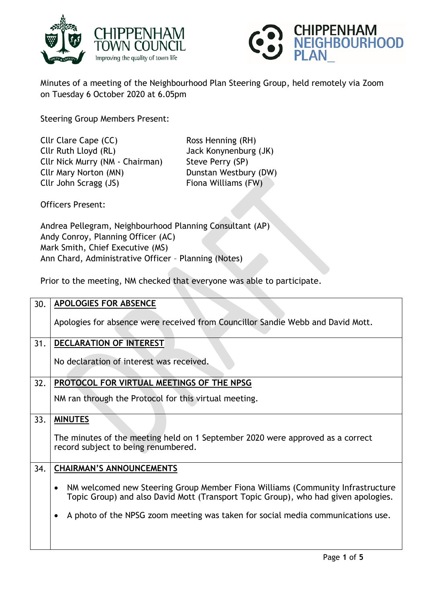



Minutes of a meeting of the Neighbourhood Plan Steering Group, held remotely via Zoom on Tuesday 6 October 2020 at 6.05pm

Steering Group Members Present:

Cllr Clare Cape (CC) Ross Henning (RH) Cllr Ruth Lloyd (RL) Jack Konynenburg (JK) Cllr Nick Murry (NM - Chairman) Steve Perry (SP) Cllr Mary Norton (MN) Dunstan Westbury (DW) Cllr John Scragg (JS) Fiona Williams (FW)

Officers Present:

Andrea Pellegram, Neighbourhood Planning Consultant (AP) Andy Conroy, Planning Officer (AC) Mark Smith, Chief Executive (MS) Ann Chard, Administrative Officer – Planning (Notes)

Prior to the meeting, NM checked that everyone was able to participate.

| 30. | <b>APOLOGIES FOR ABSENCE</b>                                                                                                                                                      |
|-----|-----------------------------------------------------------------------------------------------------------------------------------------------------------------------------------|
|     | Apologies for absence were received from Councillor Sandie Webb and David Mott.                                                                                                   |
| 31. | <b>DECLARATION OF INTEREST</b>                                                                                                                                                    |
|     | No declaration of interest was received.                                                                                                                                          |
| 32. | PROTOCOL FOR VIRTUAL MEETINGS OF THE NPSG                                                                                                                                         |
|     | NM ran through the Protocol for this virtual meeting.                                                                                                                             |
| 33. | <b>MINUTES</b>                                                                                                                                                                    |
|     | The minutes of the meeting held on 1 September 2020 were approved as a correct<br>record subject to being renumbered.                                                             |
| 34. | <b>CHAIRMAN'S ANNOUNCEMENTS</b>                                                                                                                                                   |
|     | NM welcomed new Steering Group Member Fiona Williams (Community Infrastructure<br>$\bullet$<br>Topic Group) and also David Mott (Transport Topic Group), who had given apologies. |
|     | A photo of the NPSG zoom meeting was taken for social media communications use.<br>$\bullet$                                                                                      |
|     |                                                                                                                                                                                   |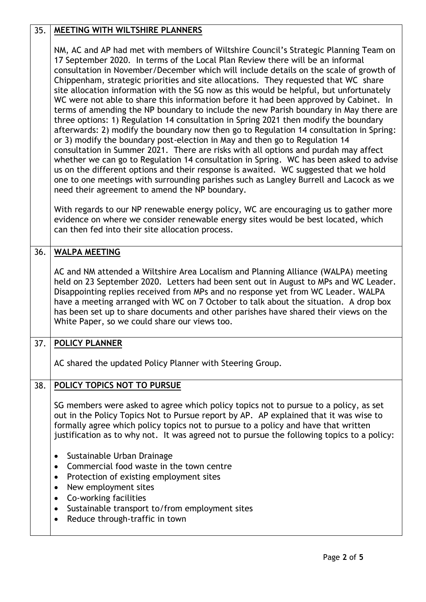# 35. **MEETING WITH WILTSHIRE PLANNERS** NM, AC and AP had met with members of Wiltshire Council's Strategic Planning Team on 17 September 2020. In terms of the Local Plan Review there will be an informal consultation in November/December which will include details on the scale of growth of Chippenham, strategic priorities and site allocations. They requested that WC share site allocation information with the SG now as this would be helpful, but unfortunately WC were not able to share this information before it had been approved by Cabinet. In terms of amending the NP boundary to include the new Parish boundary in May there are three options: 1) Regulation 14 consultation in Spring 2021 then modify the boundary afterwards: 2) modify the boundary now then go to Regulation 14 consultation in Spring: or 3) modify the boundary post-election in May and then go to Regulation 14 consultation in Summer 2021. There are risks with all options and purdah may affect whether we can go to Regulation 14 consultation in Spring. WC has been asked to advise us on the different options and their response is awaited. WC suggested that we hold one to one meetings with surrounding parishes such as Langley Burrell and Lacock as we need their agreement to amend the NP boundary. With regards to our NP renewable energy policy, WC are encouraging us to gather more evidence on where we consider renewable energy sites would be best located, which can then fed into their site allocation process. 36. **WALPA MEETING** AC and NM attended a Wiltshire Area Localism and Planning Alliance (WALPA) meeting held on 23 September 2020. Letters had been sent out in August to MPs and WC Leader. Disappointing replies received from MPs and no response yet from WC Leader. WALPA have a meeting arranged with WC on 7 October to talk about the situation. A drop box has been set up to share documents and other parishes have shared their views on the White Paper, so we could share our views too. 37. **POLICY PLANNER** AC shared the updated Policy Planner with Steering Group. 38. **POLICY TOPICS NOT TO PURSUE** SG members were asked to agree which policy topics not to pursue to a policy, as set out in the Policy Topics Not to Pursue report by AP. AP explained that it was wise to formally agree which policy topics not to pursue to a policy and have that written justification as to why not. It was agreed not to pursue the following topics to a policy: • Sustainable Urban Drainage Commercial food waste in the town centre • Protection of existing employment sites • New employment sites Co-working facilities Sustainable transport to/from employment sites • Reduce through-traffic in town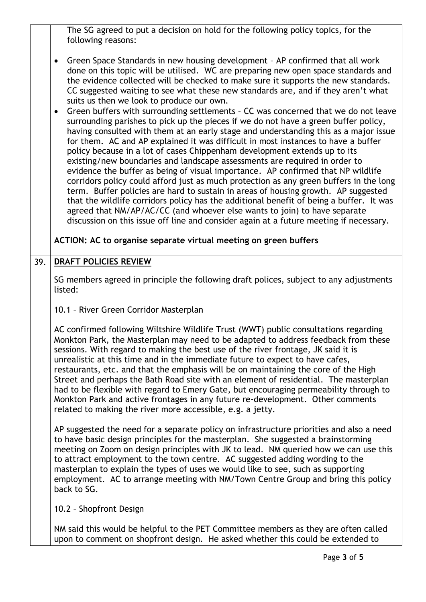|     | The SG agreed to put a decision on hold for the following policy topics, for the<br>following reasons:                                                                                                                                                                                                                                                                                                                                                                                                                                                                                                                                                                                                                                                                                                                                                                                                                                                                                                                                                                                                                                                                                                                                                                                                                                                                                                                                                 |
|-----|--------------------------------------------------------------------------------------------------------------------------------------------------------------------------------------------------------------------------------------------------------------------------------------------------------------------------------------------------------------------------------------------------------------------------------------------------------------------------------------------------------------------------------------------------------------------------------------------------------------------------------------------------------------------------------------------------------------------------------------------------------------------------------------------------------------------------------------------------------------------------------------------------------------------------------------------------------------------------------------------------------------------------------------------------------------------------------------------------------------------------------------------------------------------------------------------------------------------------------------------------------------------------------------------------------------------------------------------------------------------------------------------------------------------------------------------------------|
|     | Green Space Standards in new housing development - AP confirmed that all work<br>done on this topic will be utilised. WC are preparing new open space standards and<br>the evidence collected will be checked to make sure it supports the new standards.<br>CC suggested waiting to see what these new standards are, and if they aren't what<br>suits us then we look to produce our own.<br>Green buffers with surrounding settlements - CC was concerned that we do not leave<br>surrounding parishes to pick up the pieces if we do not have a green buffer policy,<br>having consulted with them at an early stage and understanding this as a major issue<br>for them. AC and AP explained it was difficult in most instances to have a buffer<br>policy because in a lot of cases Chippenham development extends up to its<br>existing/new boundaries and landscape assessments are required in order to<br>evidence the buffer as being of visual importance. AP confirmed that NP wildlife<br>corridors policy could afford just as much protection as any green buffers in the long<br>term. Buffer policies are hard to sustain in areas of housing growth. AP suggested<br>that the wildlife corridors policy has the additional benefit of being a buffer. It was<br>agreed that NM/AP/AC/CC (and whoever else wants to join) to have separate<br>discussion on this issue off line and consider again at a future meeting if necessary. |
|     | ACTION: AC to organise separate virtual meeting on green buffers                                                                                                                                                                                                                                                                                                                                                                                                                                                                                                                                                                                                                                                                                                                                                                                                                                                                                                                                                                                                                                                                                                                                                                                                                                                                                                                                                                                       |
| 39. | <b>DRAFT POLICIES REVIEW</b>                                                                                                                                                                                                                                                                                                                                                                                                                                                                                                                                                                                                                                                                                                                                                                                                                                                                                                                                                                                                                                                                                                                                                                                                                                                                                                                                                                                                                           |
|     | SG members agreed in principle the following draft polices, subject to any adjustments<br>listed:                                                                                                                                                                                                                                                                                                                                                                                                                                                                                                                                                                                                                                                                                                                                                                                                                                                                                                                                                                                                                                                                                                                                                                                                                                                                                                                                                      |
|     | 10.1 - River Green Corridor Masterplan                                                                                                                                                                                                                                                                                                                                                                                                                                                                                                                                                                                                                                                                                                                                                                                                                                                                                                                                                                                                                                                                                                                                                                                                                                                                                                                                                                                                                 |
|     | AC confirmed following Wiltshire Wildlife Trust (WWT) public consultations regarding<br>Monkton Park, the Masterplan may need to be adapted to address feedback from these<br>sessions. With regard to making the best use of the river frontage, JK said it is<br>unrealistic at this time and in the immediate future to expect to have cafes,<br>restaurants, etc. and that the emphasis will be on maintaining the core of the High<br>Street and perhaps the Bath Road site with an element of residential. The masterplan<br>had to be flexible with regard to Emery Gate, but encouraging permeability through to<br>Monkton Park and active frontages in any future re-development. Other comments<br>related to making the river more accessible, e.g. a jetty.                                                                                                                                                                                                                                                                                                                                                                                                                                                                                                                                                                                                                                                                               |
|     | AP suggested the need for a separate policy on infrastructure priorities and also a need<br>to have basic design principles for the masterplan. She suggested a brainstorming<br>meeting on Zoom on design principles with JK to lead. NM queried how we can use this<br>to attract employment to the town centre. AC suggested adding wording to the<br>masterplan to explain the types of uses we would like to see, such as supporting<br>employment. AC to arrange meeting with NM/Town Centre Group and bring this policy<br>back to SG.                                                                                                                                                                                                                                                                                                                                                                                                                                                                                                                                                                                                                                                                                                                                                                                                                                                                                                          |
|     |                                                                                                                                                                                                                                                                                                                                                                                                                                                                                                                                                                                                                                                                                                                                                                                                                                                                                                                                                                                                                                                                                                                                                                                                                                                                                                                                                                                                                                                        |
|     | 10.2 - Shopfront Design                                                                                                                                                                                                                                                                                                                                                                                                                                                                                                                                                                                                                                                                                                                                                                                                                                                                                                                                                                                                                                                                                                                                                                                                                                                                                                                                                                                                                                |

upon to comment on shopfront design. He asked whether this could be extended to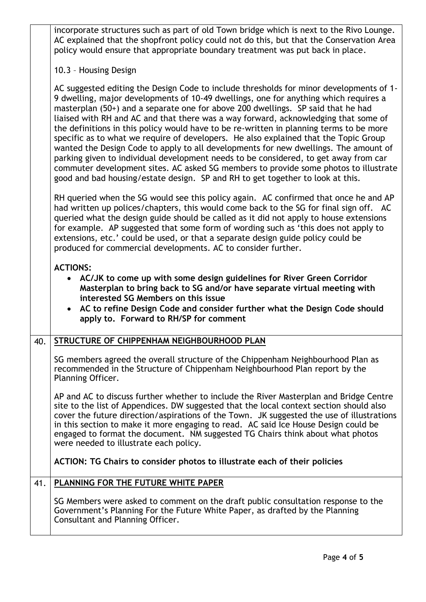incorporate structures such as part of old Town bridge which is next to the Rivo Lounge. AC explained that the shopfront policy could not do this, but that the Conservation Area policy would ensure that appropriate boundary treatment was put back in place.

### 10.3 – Housing Design

AC suggested editing the Design Code to include thresholds for minor developments of 1- 9 dwelling, major developments of 10-49 dwellings, one for anything which requires a masterplan (50+) and a separate one for above 200 dwellings. SP said that he had liaised with RH and AC and that there was a way forward, acknowledging that some of the definitions in this policy would have to be re-written in planning terms to be more specific as to what we require of developers. He also explained that the Topic Group wanted the Design Code to apply to all developments for new dwellings. The amount of parking given to individual development needs to be considered, to get away from car commuter development sites. AC asked SG members to provide some photos to illustrate good and bad housing/estate design. SP and RH to get together to look at this.

RH queried when the SG would see this policy again. AC confirmed that once he and AP had written up polices/chapters, this would come back to the SG for final sign off. AC queried what the design guide should be called as it did not apply to house extensions for example. AP suggested that some form of wording such as 'this does not apply to extensions, etc.' could be used, or that a separate design guide policy could be produced for commercial developments. AC to consider further.

#### **ACTIONS:**

- **AC/JK to come up with some design guidelines for River Green Corridor Masterplan to bring back to SG and/or have separate virtual meeting with interested SG Members on this issue**
- **AC to refine Design Code and consider further what the Design Code should apply to. Forward to RH/SP for comment**

# 40. **STRUCTURE OF CHIPPENHAM NEIGHBOURHOOD PLAN**

SG members agreed the overall structure of the Chippenham Neighbourhood Plan as recommended in the Structure of Chippenham Neighbourhood Plan report by the Planning Officer.

AP and AC to discuss further whether to include the River Masterplan and Bridge Centre site to the list of Appendices. DW suggested that the local context section should also cover the future direction/aspirations of the Town. JK suggested the use of illustrations in this section to make it more engaging to read. AC said Ice House Design could be engaged to format the document. NM suggested TG Chairs think about what photos were needed to illustrate each policy.

**ACTION: TG Chairs to consider photos to illustrate each of their policies** 

## 41. **PLANNING FOR THE FUTURE WHITE PAPER**

SG Members were asked to comment on the draft public consultation response to the Government's Planning For the Future White Paper, as drafted by the Planning Consultant and Planning Officer.